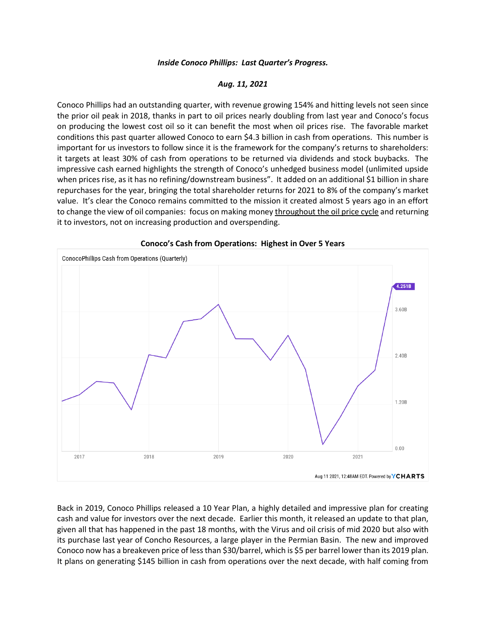## *Inside Conoco Phillips: Last Quarter's Progress.*

## *Aug. 11, 2021*

Conoco Phillips had an outstanding quarter, with revenue growing 154% and hitting levels not seen since the prior oil peak in 2018, thanks in part to oil prices nearly doubling from last year and Conoco's focus on producing the lowest cost oil so it can benefit the most when oil prices rise. The favorable market conditions this past quarter allowed Conoco to earn \$4.3 billion in cash from operations. This number is important for us investors to follow since it is the framework for the company's returns to shareholders: it targets at least 30% of cash from operations to be returned via dividends and stock buybacks. The impressive cash earned highlights the strength of Conoco's unhedged business model (unlimited upside when prices rise, as it has no refining/downstream business". It added on an additional \$1 billion in share repurchases for the year, bringing the total shareholder returns for 2021 to 8% of the company's market value. It's clear the Conoco remains committed to the mission it created almost 5 years ago in an effort to change the view of oil companies: focus on making money throughout the oil price cycle and returning it to investors, not on increasing production and overspending.



## **Conoco's Cash from Operations: Highest in Over 5 Years**

Back in 2019, Conoco Phillips released a 10 Year Plan, a highly detailed and impressive plan for creating cash and value for investors over the next decade. Earlier this month, it released an update to that plan, given all that has happened in the past 18 months, with the Virus and oil crisis of mid 2020 but also with its purchase last year of Concho Resources, a large player in the Permian Basin. The new and improved Conoco now has a breakeven price of less than \$30/barrel, which is \$5 per barrel lower than its 2019 plan. It plans on generating \$145 billion in cash from operations over the next decade, with half coming from